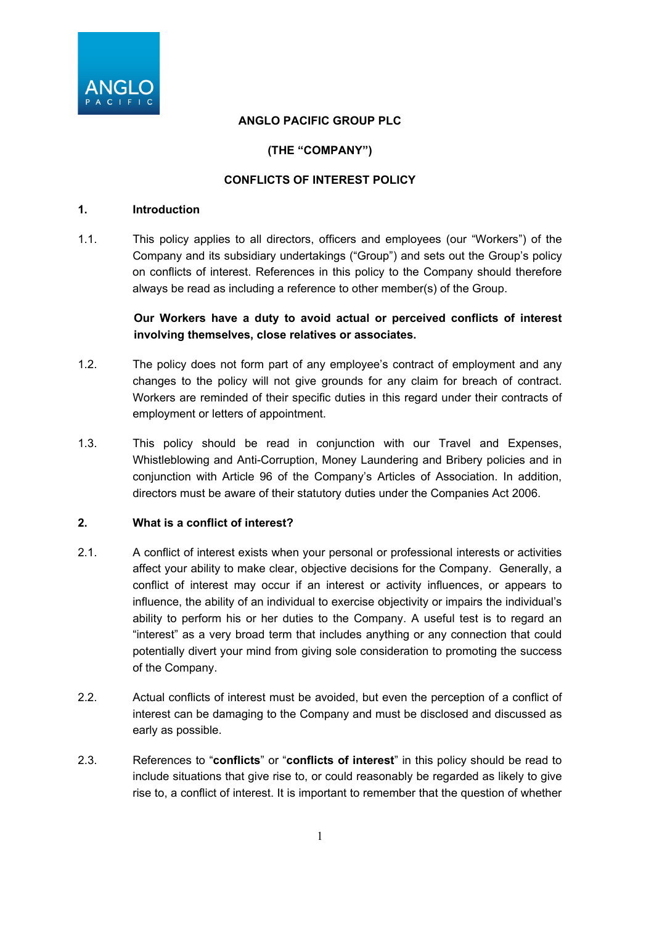

# **ANGLO PACIFIC GROUP PLC**

# **(THE "COMPANY")**

# **CONFLICTS OF INTEREST POLICY**

### **1. Introduction**

1.1. This policy applies to all directors, officers and employees (our "Workers") of the Company and its subsidiary undertakings ("Group") and sets out the Group's policy on conflicts of interest. References in this policy to the Company should therefore always be read as including a reference to other member(s) of the Group.

> **Our Workers have a duty to avoid actual or perceived conflicts of interest involving themselves, close relatives or associates.**

- 1.2. The policy does not form part of any employee's contract of employment and any changes to the policy will not give grounds for any claim for breach of contract. Workers are reminded of their specific duties in this regard under their contracts of employment or letters of appointment.
- 1.3. This policy should be read in conjunction with our Travel and Expenses, Whistleblowing and Anti-Corruption, Money Laundering and Bribery policies and in conjunction with Article 96 of the Company's Articles of Association. In addition, directors must be aware of their statutory duties under the Companies Act 2006.

# **2. What is a conflict of interest?**

- 2.1. A conflict of interest exists when your personal or professional interests or activities affect your ability to make clear, objective decisions for the Company. Generally, a conflict of interest may occur if an interest or activity influences, or appears to influence, the ability of an individual to exercise objectivity or impairs the individual's ability to perform his or her duties to the Company. A useful test is to regard an "interest" as a very broad term that includes anything or any connection that could potentially divert your mind from giving sole consideration to promoting the success of the Company.
- 2.2. Actual conflicts of interest must be avoided, but even the perception of a conflict of interest can be damaging to the Company and must be disclosed and discussed as early as possible.
- 2.3. References to "**conflicts**" or "**conflicts of interest**" in this policy should be read to include situations that give rise to, or could reasonably be regarded as likely to give rise to, a conflict of interest. It is important to remember that the question of whether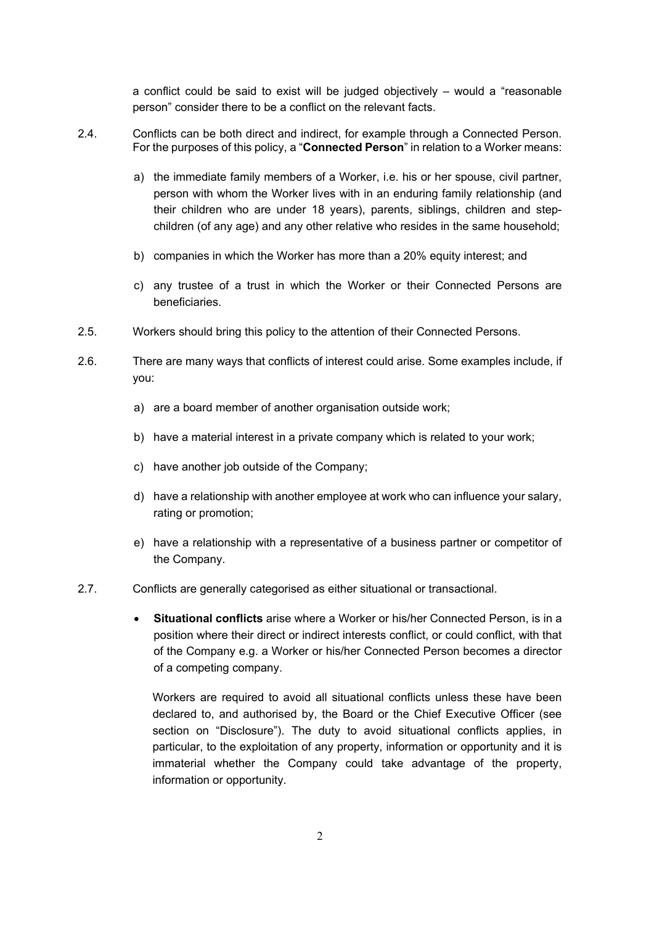a conflict could be said to exist will be judged objectively – would a "reasonable person" consider there to be a conflict on the relevant facts.

- 2.4. Conflicts can be both direct and indirect, for example through a Connected Person. For the purposes of this policy, a "**Connected Person**" in relation to a Worker means:
	- a) the immediate family members of a Worker, i.e. his or her spouse, civil partner, person with whom the Worker lives with in an enduring family relationship (and their children who are under 18 years), parents, siblings, children and stepchildren (of any age) and any other relative who resides in the same household;
	- b) companies in which the Worker has more than a 20% equity interest; and
	- c) any trustee of a trust in which the Worker or their Connected Persons are beneficiaries.
- 2.5. Workers should bring this policy to the attention of their Connected Persons.
- 2.6. There are many ways that conflicts of interest could arise. Some examples include, if you:
	- a) are a board member of another organisation outside work;
	- b) have a material interest in a private company which is related to your work;
	- c) have another job outside of the Company;
	- d) have a relationship with another employee at work who can influence your salary, rating or promotion;
	- e) have a relationship with a representative of a business partner or competitor of the Company.
- 2.7. Conflicts are generally categorised as either situational or transactional.
	- **Situational conflicts** arise where a Worker or his/her Connected Person, is in a position where their direct or indirect interests conflict, or could conflict, with that of the Company e.g. a Worker or his/her Connected Person becomes a director of a competing company.

Workers are required to avoid all situational conflicts unless these have been declared to, and authorised by, the Board or the Chief Executive Officer (see section on "Disclosure"). The duty to avoid situational conflicts applies, in particular, to the exploitation of any property, information or opportunity and it is immaterial whether the Company could take advantage of the property, information or opportunity.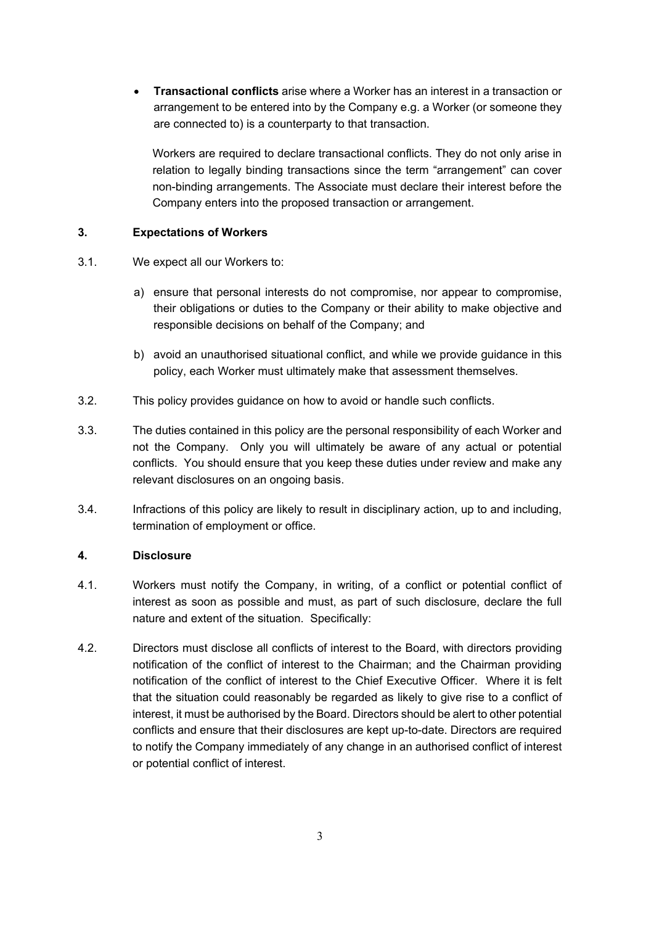• **Transactional conflicts** arise where a Worker has an interest in a transaction or arrangement to be entered into by the Company e.g. a Worker (or someone they are connected to) is a counterparty to that transaction.

Workers are required to declare transactional conflicts. They do not only arise in relation to legally binding transactions since the term "arrangement" can cover non-binding arrangements. The Associate must declare their interest before the Company enters into the proposed transaction or arrangement.

## **3. Expectations of Workers**

- 3.1. We expect all our Workers to:
	- a) ensure that personal interests do not compromise, nor appear to compromise, their obligations or duties to the Company or their ability to make objective and responsible decisions on behalf of the Company; and
	- b) avoid an unauthorised situational conflict, and while we provide guidance in this policy, each Worker must ultimately make that assessment themselves.
- 3.2. This policy provides guidance on how to avoid or handle such conflicts.
- 3.3. The duties contained in this policy are the personal responsibility of each Worker and not the Company. Only you will ultimately be aware of any actual or potential conflicts. You should ensure that you keep these duties under review and make any relevant disclosures on an ongoing basis.
- 3.4. Infractions of this policy are likely to result in disciplinary action, up to and including, termination of employment or office.

# **4. Disclosure**

- 4.1. Workers must notify the Company, in writing, of a conflict or potential conflict of interest as soon as possible and must, as part of such disclosure, declare the full nature and extent of the situation. Specifically:
- 4.2. Directors must disclose all conflicts of interest to the Board, with directors providing notification of the conflict of interest to the Chairman; and the Chairman providing notification of the conflict of interest to the Chief Executive Officer. Where it is felt that the situation could reasonably be regarded as likely to give rise to a conflict of interest, it must be authorised by the Board. Directors should be alert to other potential conflicts and ensure that their disclosures are kept up-to-date. Directors are required to notify the Company immediately of any change in an authorised conflict of interest or potential conflict of interest.